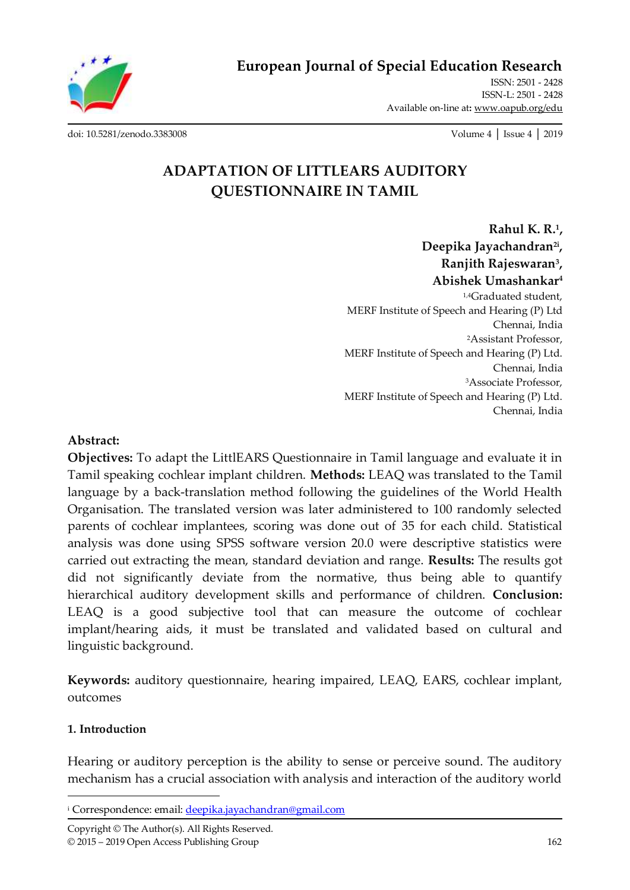**European Journal of Special Education Research**

ISSN: 2501 - 2428 ISSN-L: 2501 - 2428 Available on-line at**:** [www.oapub.org/edu](http://www.oapub.org/edu)

[doi: 10.5281/zenodo.3383008](http://dx.doi.org/10.5281/zenodo.3383008) Volume 4 │ Issue 4 │ 2019

# **ADAPTATION OF LITTLEARS AUDITORY QUESTIONNAIRE IN TAMIL**

**Rahul K. R.<sup>1</sup> , Deepika Jayachandran2i , Ranjith Rajeswaran<sup>3</sup> , Abishek Umashankar<sup>4</sup>** 1,4Graduated student, MERF Institute of Speech and Hearing (P) Ltd Chennai, India <sup>2</sup>Assistant Professor, MERF Institute of Speech and Hearing (P) Ltd. Chennai, India <sup>3</sup>Associate Professor, MERF Institute of Speech and Hearing (P) Ltd. Chennai, India

### **Abstract:**

**Objectives:** To adapt the LittlEARS Questionnaire in Tamil language and evaluate it in Tamil speaking cochlear implant children. **Methods:** LEAQ was translated to the Tamil language by a back-translation method following the guidelines of the World Health Organisation. The translated version was later administered to 100 randomly selected parents of cochlear implantees, scoring was done out of 35 for each child. Statistical analysis was done using SPSS software version 20.0 were descriptive statistics were carried out extracting the mean, standard deviation and range. **Results:** The results got did not significantly deviate from the normative, thus being able to quantify hierarchical auditory development skills and performance of children. **Conclusion:**  LEAQ is a good subjective tool that can measure the outcome of cochlear implant/hearing aids, it must be translated and validated based on cultural and linguistic background.

**Keywords:** auditory questionnaire, hearing impaired, LEAQ, EARS, cochlear implant, outcomes

#### **1. Introduction**

 $\overline{\phantom{a}}$ 

Hearing or auditory perception is the ability to sense or perceive sound. The auditory mechanism has a crucial association with analysis and interaction of the auditory world

<sup>&</sup>lt;sup>i</sup> Correspondence: email: [deepika.jayachandran@gmail.com](mailto:deepika.jayachandran@gmail.com)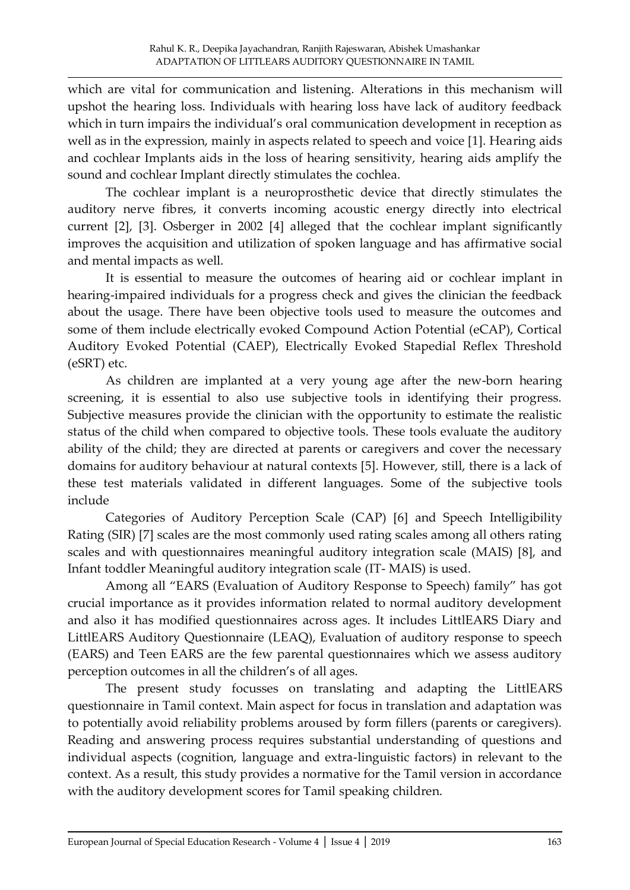which are vital for communication and listening. Alterations in this mechanism will upshot the hearing loss. Individuals with hearing loss have lack of auditory feedback which in turn impairs the individual's oral communication development in reception as well as in the expression, mainly in aspects related to speech and voice [1]. Hearing aids and cochlear Implants aids in the loss of hearing sensitivity, hearing aids amplify the sound and cochlear Implant directly stimulates the cochlea.

The cochlear implant is a neuroprosthetic device that directly stimulates the auditory nerve fibres, it converts incoming acoustic energy directly into electrical current [2], [3]. Osberger in 2002 [4] alleged that the cochlear implant significantly improves the acquisition and utilization of spoken language and has affirmative social and mental impacts as well.

It is essential to measure the outcomes of hearing aid or cochlear implant in hearing-impaired individuals for a progress check and gives the clinician the feedback about the usage. There have been objective tools used to measure the outcomes and some of them include electrically evoked Compound Action Potential (eCAP), Cortical Auditory Evoked Potential (CAEP), Electrically Evoked Stapedial Reflex Threshold (eSRT) etc.

As children are implanted at a very young age after the new-born hearing screening, it is essential to also use subjective tools in identifying their progress. Subjective measures provide the clinician with the opportunity to estimate the realistic status of the child when compared to objective tools. These tools evaluate the auditory ability of the child; they are directed at parents or caregivers and cover the necessary domains for auditory behaviour at natural contexts [5]. However, still, there is a lack of these test materials validated in different languages. Some of the subjective tools include

Categories of Auditory Perception Scale (CAP) [6] and Speech Intelligibility Rating (SIR) [7] scales are the most commonly used rating scales among all others rating scales and with questionnaires meaningful auditory integration scale (MAIS) [8], and Infant toddler Meaningful auditory integration scale (IT- MAIS) is used.

Among all "EARS (Evaluation of Auditory Response to Speech) family" has got crucial importance as it provides information related to normal auditory development and also it has modified questionnaires across ages. It includes LittlEARS Diary and LittlEARS Auditory Questionnaire (LEAQ), Evaluation of auditory response to speech (EARS) and Teen EARS are the few parental questionnaires which we assess auditory perception outcomes in all the children's of all ages.

The present study focusses on translating and adapting the LittlEARS questionnaire in Tamil context. Main aspect for focus in translation and adaptation was to potentially avoid reliability problems aroused by form fillers (parents or caregivers). Reading and answering process requires substantial understanding of questions and individual aspects (cognition, language and extra-linguistic factors) in relevant to the context. As a result, this study provides a normative for the Tamil version in accordance with the auditory development scores for Tamil speaking children.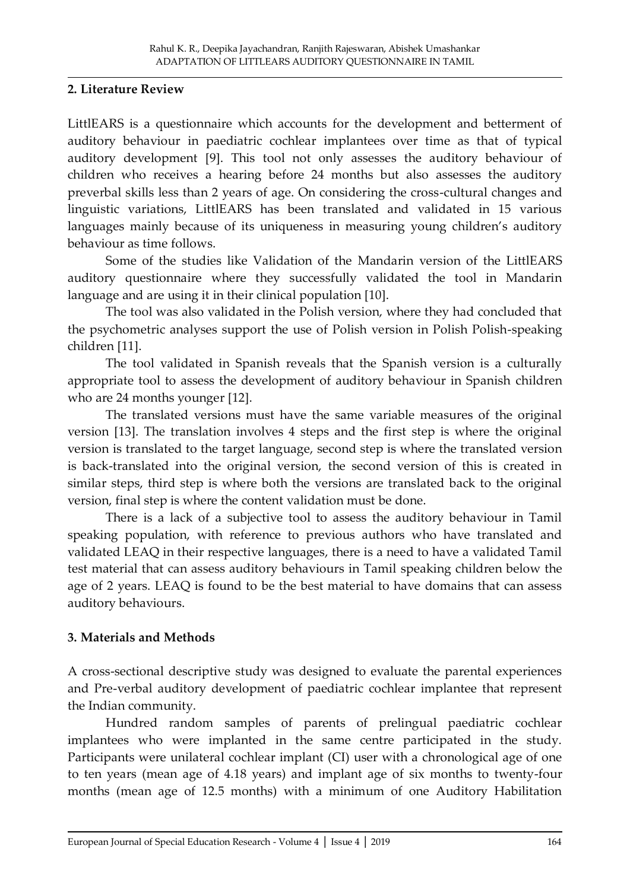### **2. Literature Review**

LittlEARS is a questionnaire which accounts for the development and betterment of auditory behaviour in paediatric cochlear implantees over time as that of typical auditory development [9]. This tool not only assesses the auditory behaviour of children who receives a hearing before 24 months but also assesses the auditory preverbal skills less than 2 years of age. On considering the cross-cultural changes and linguistic variations, LittlEARS has been translated and validated in 15 various languages mainly because of its uniqueness in measuring young children's auditory behaviour as time follows.

Some of the studies like Validation of the Mandarin version of the LittlEARS auditory questionnaire where they successfully validated the tool in Mandarin language and are using it in their clinical population [10].

The tool was also validated in the Polish version, where they had concluded that the psychometric analyses support the use of Polish version in Polish Polish-speaking children [11].

The tool validated in Spanish reveals that the Spanish version is a culturally appropriate tool to assess the development of auditory behaviour in Spanish children who are 24 months younger [12].

The translated versions must have the same variable measures of the original version [13]. The translation involves 4 steps and the first step is where the original version is translated to the target language, second step is where the translated version is back-translated into the original version, the second version of this is created in similar steps, third step is where both the versions are translated back to the original version, final step is where the content validation must be done.

There is a lack of a subjective tool to assess the auditory behaviour in Tamil speaking population, with reference to previous authors who have translated and validated LEAQ in their respective languages, there is a need to have a validated Tamil test material that can assess auditory behaviours in Tamil speaking children below the age of 2 years. LEAQ is found to be the best material to have domains that can assess auditory behaviours.

### **3. Materials and Methods**

A cross-sectional descriptive study was designed to evaluate the parental experiences and Pre-verbal auditory development of paediatric cochlear implantee that represent the Indian community.

Hundred random samples of parents of prelingual paediatric cochlear implantees who were implanted in the same centre participated in the study. Participants were unilateral cochlear implant (CI) user with a chronological age of one to ten years (mean age of 4.18 years) and implant age of six months to twenty-four months (mean age of 12.5 months) with a minimum of one Auditory Habilitation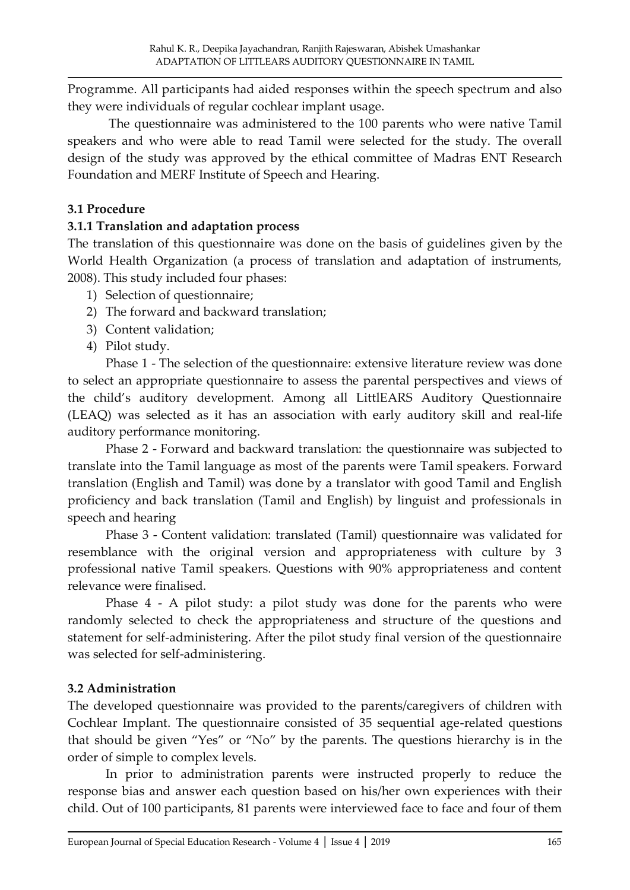Programme. All participants had aided responses within the speech spectrum and also they were individuals of regular cochlear implant usage.

The questionnaire was administered to the 100 parents who were native Tamil speakers and who were able to read Tamil were selected for the study. The overall design of the study was approved by the ethical committee of Madras ENT Research Foundation and MERF Institute of Speech and Hearing.

## **3.1 Procedure**

## **3.1.1 Translation and adaptation process**

The translation of this questionnaire was done on the basis of guidelines given by the World Health Organization (a process of translation and adaptation of instruments, 2008). This study included four phases:

- 1) Selection of questionnaire;
- 2) The forward and backward translation;
- 3) Content validation;
- 4) Pilot study.

Phase 1 - The selection of the questionnaire: extensive literature review was done to select an appropriate questionnaire to assess the parental perspectives and views of the child's auditory development. Among all LittlEARS Auditory Questionnaire (LEAQ) was selected as it has an association with early auditory skill and real-life auditory performance monitoring.

Phase 2 - Forward and backward translation: the questionnaire was subjected to translate into the Tamil language as most of the parents were Tamil speakers. Forward translation (English and Tamil) was done by a translator with good Tamil and English proficiency and back translation (Tamil and English) by linguist and professionals in speech and hearing

Phase 3 - Content validation: translated (Tamil) questionnaire was validated for resemblance with the original version and appropriateness with culture by 3 professional native Tamil speakers. Questions with 90% appropriateness and content relevance were finalised.

Phase 4 - A pilot study: a pilot study was done for the parents who were randomly selected to check the appropriateness and structure of the questions and statement for self-administering. After the pilot study final version of the questionnaire was selected for self-administering.

# **3.2 Administration**

The developed questionnaire was provided to the parents/caregivers of children with Cochlear Implant. The questionnaire consisted of 35 sequential age-related questions that should be given "Yes" or "No" by the parents. The questions hierarchy is in the order of simple to complex levels.

In prior to administration parents were instructed properly to reduce the response bias and answer each question based on his/her own experiences with their child. Out of 100 participants, 81 parents were interviewed face to face and four of them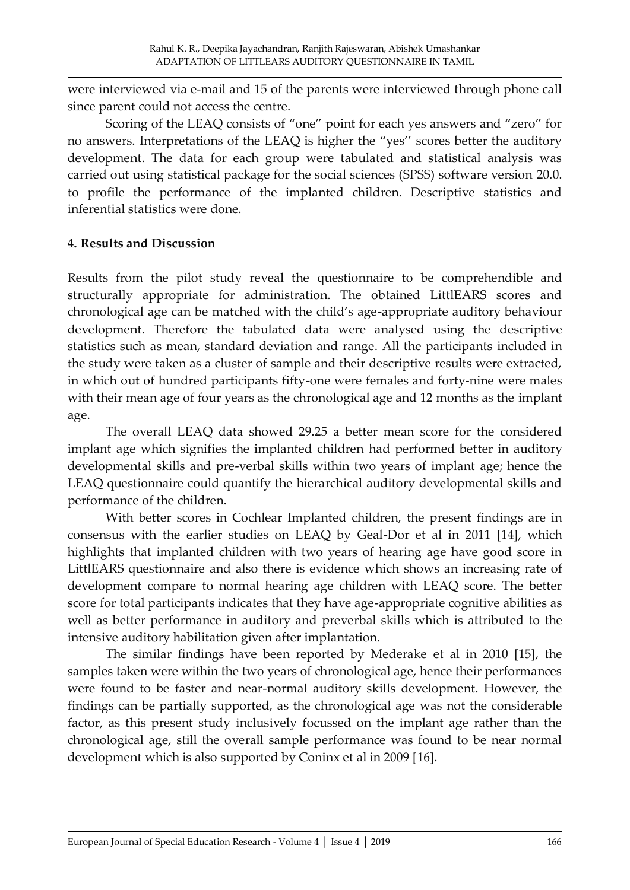were interviewed via e-mail and 15 of the parents were interviewed through phone call since parent could not access the centre.

Scoring of the LEAQ consists of "one" point for each yes answers and "zero" for no answers. Interpretations of the LEAQ is higher the "yes'' scores better the auditory development. The data for each group were tabulated and statistical analysis was carried out using statistical package for the social sciences (SPSS) software version 20.0. to profile the performance of the implanted children. Descriptive statistics and inferential statistics were done.

### **4. Results and Discussion**

Results from the pilot study reveal the questionnaire to be comprehendible and structurally appropriate for administration. The obtained LittlEARS scores and chronological age can be matched with the child's age-appropriate auditory behaviour development. Therefore the tabulated data were analysed using the descriptive statistics such as mean, standard deviation and range. All the participants included in the study were taken as a cluster of sample and their descriptive results were extracted, in which out of hundred participants fifty-one were females and forty-nine were males with their mean age of four years as the chronological age and 12 months as the implant age.

The overall LEAQ data showed 29.25 a better mean score for the considered implant age which signifies the implanted children had performed better in auditory developmental skills and pre-verbal skills within two years of implant age; hence the LEAQ questionnaire could quantify the hierarchical auditory developmental skills and performance of the children.

With better scores in Cochlear Implanted children, the present findings are in consensus with the earlier studies on LEAQ by Geal-Dor et al in 2011 [14], which highlights that implanted children with two years of hearing age have good score in LittlEARS questionnaire and also there is evidence which shows an increasing rate of development compare to normal hearing age children with LEAQ score. The better score for total participants indicates that they have age-appropriate cognitive abilities as well as better performance in auditory and preverbal skills which is attributed to the intensive auditory habilitation given after implantation.

The similar findings have been reported by Mederake et al in 2010 [15], the samples taken were within the two years of chronological age, hence their performances were found to be faster and near-normal auditory skills development. However, the findings can be partially supported, as the chronological age was not the considerable factor, as this present study inclusively focussed on the implant age rather than the chronological age, still the overall sample performance was found to be near normal development which is also supported by Coninx et al in 2009 [16].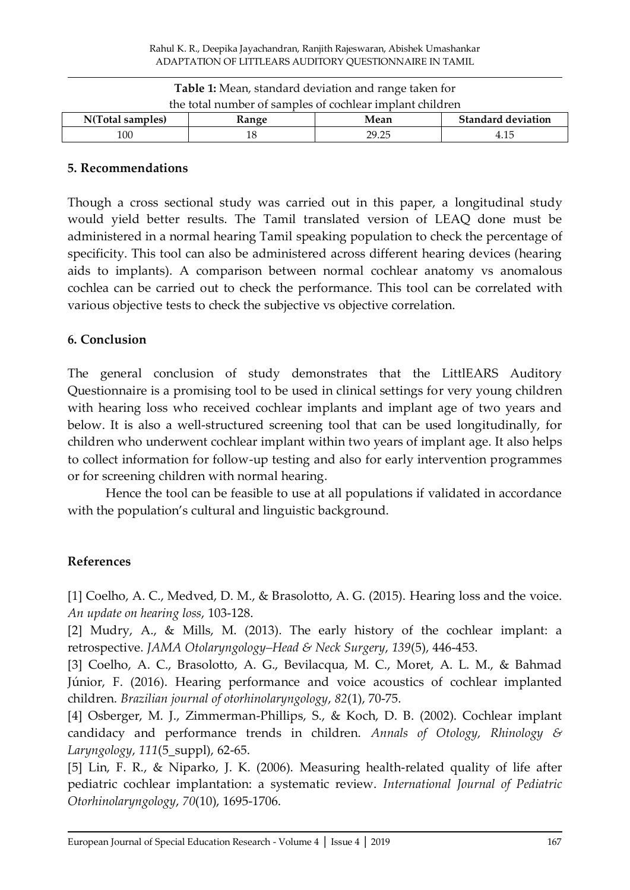| <b>Table 1:</b> Mean, standard deviation and range taken for |              |       |                           |
|--------------------------------------------------------------|--------------|-------|---------------------------|
| the total number of samples of cochlear implant children     |              |       |                           |
| N(Total samples)                                             | <b>Range</b> | Mean  | <b>Standard deviation</b> |
| 100                                                          | 18           | 29.25 | 4.15                      |

#### **5. Recommendations**

Though a cross sectional study was carried out in this paper, a longitudinal study would yield better results. The Tamil translated version of LEAQ done must be administered in a normal hearing Tamil speaking population to check the percentage of specificity. This tool can also be administered across different hearing devices (hearing aids to implants). A comparison between normal cochlear anatomy vs anomalous cochlea can be carried out to check the performance. This tool can be correlated with various objective tests to check the subjective vs objective correlation.

#### **6. Conclusion**

The general conclusion of study demonstrates that the LittlEARS Auditory Questionnaire is a promising tool to be used in clinical settings for very young children with hearing loss who received cochlear implants and implant age of two years and below. It is also a well-structured screening tool that can be used longitudinally, for children who underwent cochlear implant within two years of implant age. It also helps to collect information for follow-up testing and also for early intervention programmes or for screening children with normal hearing.

Hence the tool can be feasible to use at all populations if validated in accordance with the population's cultural and linguistic background.

#### **References**

[1] Coelho, A. C., Medved, D. M., & Brasolotto, A. G. (2015). Hearing loss and the voice. *An update on hearing loss*, 103-128.

[2] Mudry, A., & Mills, M. (2013). The early history of the cochlear implant: a retrospective. *JAMA Otolaryngology–Head & Neck Surgery*, *139*(5), 446-453.

[3] Coelho, A. C., Brasolotto, A. G., Bevilacqua, M. C., Moret, A. L. M., & Bahmad Júnior, F. (2016). Hearing performance and voice acoustics of cochlear implanted children. *Brazilian journal of otorhinolaryngology*, *82*(1), 70-75.

[4] Osberger, M. J., Zimmerman-Phillips, S., & Koch, D. B. (2002). Cochlear implant candidacy and performance trends in children. *Annals of Otology, Rhinology & Laryngology*, *111*(5\_suppl), 62-65.

[5] Lin, F. R., & Niparko, J. K. (2006). Measuring health-related quality of life after pediatric cochlear implantation: a systematic review. *International Journal of Pediatric Otorhinolaryngology*, *70*(10), 1695-1706.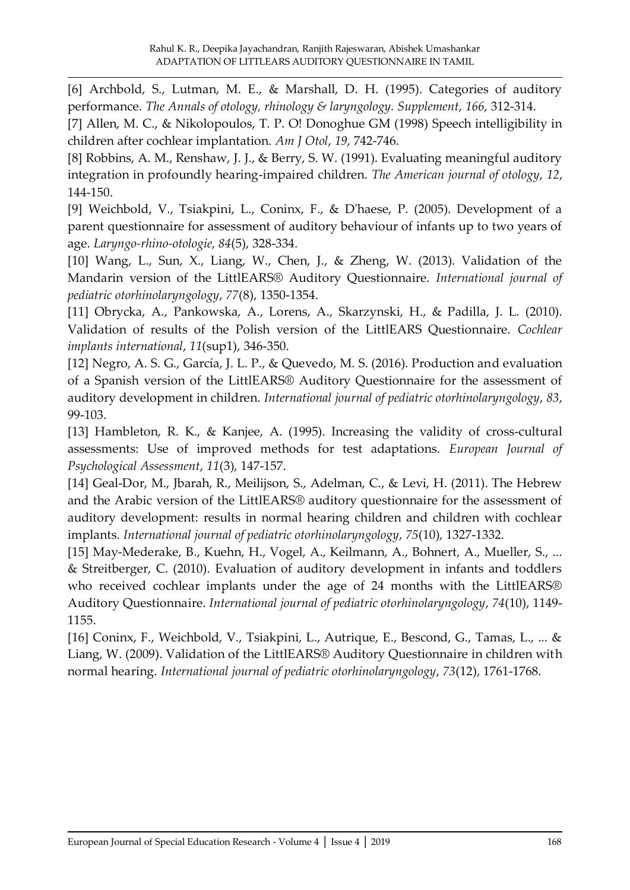[6] Archbold, S., Lutman, M. E., & Marshall, D. H. (1995). Categories of auditory performance. *The Annals of otology, rhinology & laryngology. Supplement*, *166*, 312-314.

[7] Allen, M. C., & Nikolopoulos, T. P. O! Donoghue GM (1998) Speech intelligibility in children after cochlear implantation. *Am J Otol*, *19*, 742-746.

[8] Robbins, A. M., Renshaw, J. J., & Berry, S. W. (1991). Evaluating meaningful auditory integration in profoundly hearing-impaired children. *The American journal of otology*, *12*, 144-150.

[9] Weichbold, V., Tsiakpini, L., Coninx, F., & D'haese, P. (2005). Development of a parent questionnaire for assessment of auditory behaviour of infants up to two years of age. *Laryngo-rhino-otologie*, *84*(5), 328-334.

[10] Wang, L., Sun, X., Liang, W., Chen, J., & Zheng, W. (2013). Validation of the Mandarin version of the LittlEARS® Auditory Questionnaire. *International journal of pediatric otorhinolaryngology*, *77*(8), 1350-1354.

[11] Obrycka, A., Pankowska, A., Lorens, A., Skarzynski, H., & Padilla, J. L. (2010). Validation of results of the Polish version of the LittlEARS Questionnaire. *Cochlear implants international*, *11*(sup1), 346-350.

[12] Negro, A. S. G., García, J. L. P., & Quevedo, M. S. (2016). Production and evaluation of a Spanish version of the LittlEARS® Auditory Questionnaire for the assessment of auditory development in children. *International journal of pediatric otorhinolaryngology*, *83*, 99-103.

[13] Hambleton, R. K., & Kanjee, A. (1995). Increasing the validity of cross-cultural assessments: Use of improved methods for test adaptations. *European Journal of Psychological Assessment*, *11*(3), 147-157.

[14] Geal-Dor, M., Jbarah, R., Meilijson, S., Adelman, C., & Levi, H. (2011). The Hebrew and the Arabic version of the LittlEARS® auditory questionnaire for the assessment of auditory development: results in normal hearing children and children with cochlear implants. *International journal of pediatric otorhinolaryngology*, *75*(10), 1327-1332.

[15] May-Mederake, B., Kuehn, H., Vogel, A., Keilmann, A., Bohnert, A., Mueller, S., ... & Streitberger, C. (2010). Evaluation of auditory development in infants and toddlers who received cochlear implants under the age of 24 months with the LittlEARS® Auditory Questionnaire. *International journal of pediatric otorhinolaryngology*, *74*(10), 1149- 1155.

[16] Coninx, F., Weichbold, V., Tsiakpini, L., Autrique, E., Bescond, G., Tamas, L., ... & Liang, W. (2009). Validation of the LittlEARS® Auditory Questionnaire in children with normal hearing. *International journal of pediatric otorhinolaryngology*, *73*(12), 1761-1768.